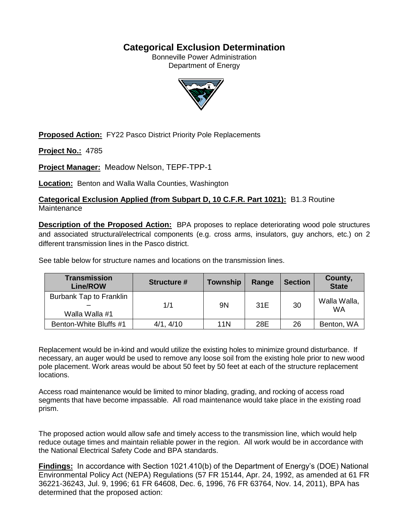## **Categorical Exclusion Determination**

Bonneville Power Administration Department of Energy



**Proposed Action:** FY22 Pasco District Priority Pole Replacements

**Project No.:** 4785

**Project Manager:** Meadow Nelson, TEPF-TPP-1

**Location:** Benton and Walla Walla Counties, Washington

**Categorical Exclusion Applied (from Subpart D, 10 C.F.R. Part 1021):** B1.3 Routine **Maintenance** 

**Description of the Proposed Action:** BPA proposes to replace deteriorating wood pole structures and associated structural/electrical components (e.g. cross arms, insulators, guy anchors, etc.) on 2 different transmission lines in the Pasco district.

See table below for structure names and locations on the transmission lines.

| <b>Transmission</b><br><b>Line/ROW</b>    | <b>Structure #</b> | <b>Township</b> | Range | <b>Section</b> | County,<br><b>State</b>   |
|-------------------------------------------|--------------------|-----------------|-------|----------------|---------------------------|
| Burbank Tap to Franklin<br>Walla Walla #1 | 1/1                | 9N              | 31E   | 30             | Walla Walla,<br><b>WA</b> |
| Benton-White Bluffs #1                    | 4/1, 4/10          | 11N             | 28E   | 26             | Benton, WA                |

Replacement would be in-kind and would utilize the existing holes to minimize ground disturbance. If necessary, an auger would be used to remove any loose soil from the existing hole prior to new wood pole placement. Work areas would be about 50 feet by 50 feet at each of the structure replacement locations.

Access road maintenance would be limited to minor blading, grading, and rocking of access road segments that have become impassable. All road maintenance would take place in the existing road prism.

The proposed action would allow safe and timely access to the transmission line, which would help reduce outage times and maintain reliable power in the region. All work would be in accordance with the National Electrical Safety Code and BPA standards.

**Findings:** In accordance with Section 1021.410(b) of the Department of Energy's (DOE) National Environmental Policy Act (NEPA) Regulations (57 FR 15144, Apr. 24, 1992, as amended at 61 FR 36221-36243, Jul. 9, 1996; 61 FR 64608, Dec. 6, 1996, 76 FR 63764, Nov. 14, 2011), BPA has determined that the proposed action: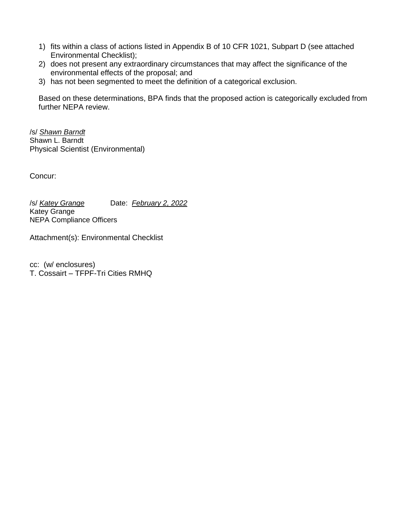- 1) fits within a class of actions listed in Appendix B of 10 CFR 1021, Subpart D (see attached Environmental Checklist);
- 2) does not present any extraordinary circumstances that may affect the significance of the environmental effects of the proposal; and
- 3) has not been segmented to meet the definition of a categorical exclusion.

Based on these determinations, BPA finds that the proposed action is categorically excluded from further NEPA review.

/s/ *Shawn Barndt* Shawn L. Barndt Physical Scientist (Environmental)

Concur:

/s/ *Katey Grange* Date: *February 2, 2022* Katey Grange NEPA Compliance Officers

Attachment(s): Environmental Checklist

cc: (w/ enclosures) T. Cossairt – TFPF-Tri Cities RMHQ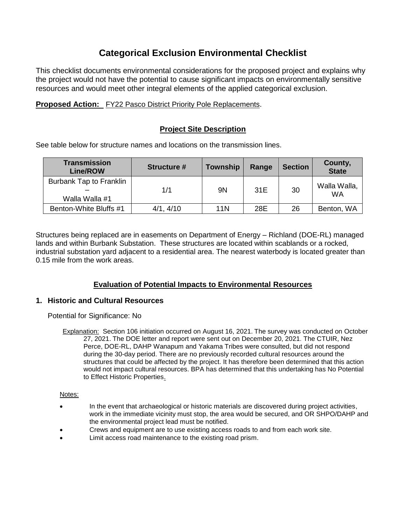# **Categorical Exclusion Environmental Checklist**

This checklist documents environmental considerations for the proposed project and explains why the project would not have the potential to cause significant impacts on environmentally sensitive resources and would meet other integral elements of the applied categorical exclusion.

## **Proposed Action:** FY22 Pasco District Priority Pole Replacements.

## **Project Site Description**

See table below for structure names and locations on the transmission lines.

| <b>Transmission</b><br><b>Line/ROW</b>    | <b>Structure #</b> | <b>Township</b> | Range | <b>Section</b> | County,<br><b>State</b>   |
|-------------------------------------------|--------------------|-----------------|-------|----------------|---------------------------|
| Burbank Tap to Franklin<br>Walla Walla #1 | 1/1                | 9N              | 31E   | 30             | Walla Walla,<br><b>WA</b> |
| Benton-White Bluffs #1                    | 4/1, 4/10          | 11N             | 28E   | 26             | Benton, WA                |

Structures being replaced are in easements on Department of Energy – Richland (DOE-RL) managed lands and within Burbank Substation. These structures are located within scablands or a rocked, industrial substation yard adjacent to a residential area. The nearest waterbody is located greater than 0.15 mile from the work areas.

## **Evaluation of Potential Impacts to Environmental Resources**

## **1. Historic and Cultural Resources**

Potential for Significance: No

Explanation: Section 106 initiation occurred on August 16, 2021. The survey was conducted on October 27, 2021. The DOE letter and report were sent out on December 20, 2021. The CTUIR, Nez Perce, DOE-RL, DAHP Wanapum and Yakama Tribes were consulted, but did not respond during the 30-day period. There are no previously recorded cultural resources around the structures that could be affected by the project. It has therefore been determined that this action would not impact cultural resources. BPA has determined that this undertaking has No Potential to Effect Historic Properties.

### Notes:

- In the event that archaeological or historic materials are discovered during project activities, work in the immediate vicinity must stop, the area would be secured, and OR SHPO/DAHP and the environmental project lead must be notified.
- Crews and equipment are to use existing access roads to and from each work site.
- Limit access road maintenance to the existing road prism.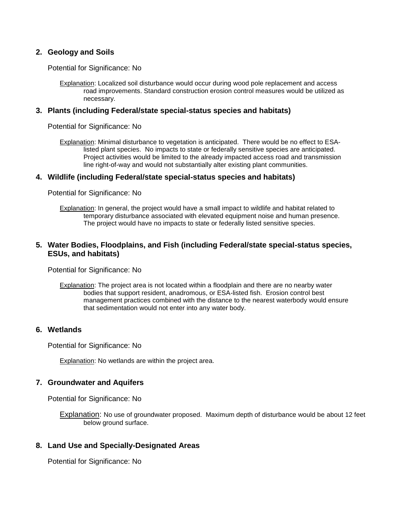## **2. Geology and Soils**

Potential for Significance: No

Explanation: Localized soil disturbance would occur during wood pole replacement and access road improvements. Standard construction erosion control measures would be utilized as necessary.

### **3. Plants (including Federal/state special-status species and habitats)**

Potential for Significance: No

Explanation: Minimal disturbance to vegetation is anticipated. There would be no effect to ESAlisted plant species. No impacts to state or federally sensitive species are anticipated. Project activities would be limited to the already impacted access road and transmission line right-of-way and would not substantially alter existing plant communities.

### **4. Wildlife (including Federal/state special-status species and habitats)**

Potential for Significance: No

Explanation: In general, the project would have a small impact to wildlife and habitat related to temporary disturbance associated with elevated equipment noise and human presence. The project would have no impacts to state or federally listed sensitive species.

## **5. Water Bodies, Floodplains, and Fish (including Federal/state special-status species, ESUs, and habitats)**

Potential for Significance: No

Explanation: The project area is not located within a floodplain and there are no nearby water bodies that support resident, anadromous, or ESA-listed fish. Erosion control best management practices combined with the distance to the nearest waterbody would ensure that sedimentation would not enter into any water body.

## **6. Wetlands**

Potential for Significance: No

**Explanation: No wetlands are within the project area.** 

## **7. Groundwater and Aquifers**

Potential for Significance: No

Explanation: No use of groundwater proposed. Maximum depth of disturbance would be about 12 feet below ground surface.

### **8. Land Use and Specially-Designated Areas**

Potential for Significance: No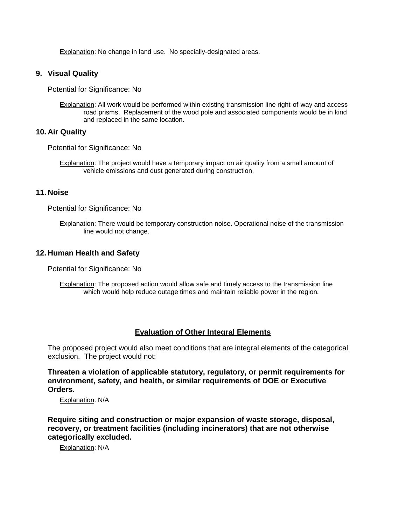Explanation: No change in land use. No specially-designated areas.

## **9. Visual Quality**

Potential for Significance: No

Explanation: All work would be performed within existing transmission line right-of-way and access road prisms. Replacement of the wood pole and associated components would be in kind and replaced in the same location.

## **10. Air Quality**

Potential for Significance: No

Explanation: The project would have a temporary impact on air quality from a small amount of vehicle emissions and dust generated during construction.

### **11. Noise**

Potential for Significance: No

Explanation: There would be temporary construction noise. Operational noise of the transmission line would not change.

### **12. Human Health and Safety**

Potential for Significance: No

**Explanation:** The proposed action would allow safe and timely access to the transmission line which would help reduce outage times and maintain reliable power in the region.

### **Evaluation of Other Integral Elements**

The proposed project would also meet conditions that are integral elements of the categorical exclusion. The project would not:

**Threaten a violation of applicable statutory, regulatory, or permit requirements for environment, safety, and health, or similar requirements of DOE or Executive Orders.**

Explanation: N/A

**Require siting and construction or major expansion of waste storage, disposal, recovery, or treatment facilities (including incinerators) that are not otherwise categorically excluded.**

Explanation: N/A